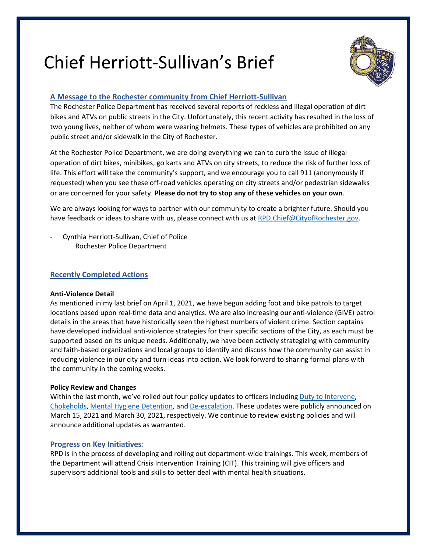# Chief Herriott-Sullivan's Brief



## **A Message to the Rochester community from Chief Herriott-Sullivan**

The Rochester Police Department has received several reports of reckless and illegal operation of dirt bikes and ATVs on public streets in the City. Unfortunately, this recent activity has resulted in the loss of two young lives, neither of whom were wearing helmets. These types of vehicles are prohibited on any public street and/or sidewalk in the City of Rochester.

At the Rochester Police Department, we are doing everything we can to curb the issue of illegal operation of dirt bikes, minibikes, go karts and ATVs on city streets, to reduce the risk of further loss of life. This effort will take the community's support, and we encourage you to call 911 (anonymously if requested) when you see these off-road vehicles operating on city streets and/or pedestrian sidewalks or are concerned for your safety. **Please do not try to stop any of these vehicles on your own**.

We are always looking for ways to partner with our community to create a brighter future. Should you have feedback or ideas to share with us, please connect with us at [RPD.Chief@CityofRochester.gov.](mailto:RPD.Chief@CityofRochester.gov)

Cynthia Herriott-Sullivan, Chief of Police Rochester Police Department

## **Recently Completed Actions**

#### **Anti-Violence Detail**

As mentioned in my last brief on April 1, 2021, we have begun adding foot and bike patrols to target locations based upon real-time data and analytics. We are also increasing our anti-violence (GIVE) patrol details in the areas that have historically seen the highest numbers of violent crime. Section captains have developed individual anti-violence strategies for their specific sections of the City, as each must be supported based on its unique needs. Additionally, we have been actively strategizing with community and faith-based organizations and local groups to identify and discuss how the community can assist in reducing violence in our city and turn ideas into action. We look forward to sharing formal plans with the community in the coming weeks.

## **Policy Review and Changes**

Within the last month, we've rolled out four policy updates to officers including [Duty to Intervene,](https://data-rpdny.opendata.arcgis.com/datasets/go-336-duty-to-intervene) [Chokeholds,](https://data-rpdny.opendata.arcgis.com/datasets/go-341-chokeholds) [Mental Hygiene Detention,](https://data-rpdny.opendata.arcgis.com/datasets/go-560-psychiatric-crisis-intervention) and [De-escalation.](https://data-rpdny.opendata.arcgis.com/datasets/go-575-de-escalation) These updates were publicly announced on March 15, 2021 and March 30, 2021, respectively. We continue to review existing policies and will announce additional updates as warranted.

## **Progress on Key Initiatives**:

RPD is in the process of developing and rolling out department-wide trainings. This week, members of the Department will attend Crisis Intervention Training (CIT). This training will give officers and supervisors additional tools and skills to better deal with mental health situations.